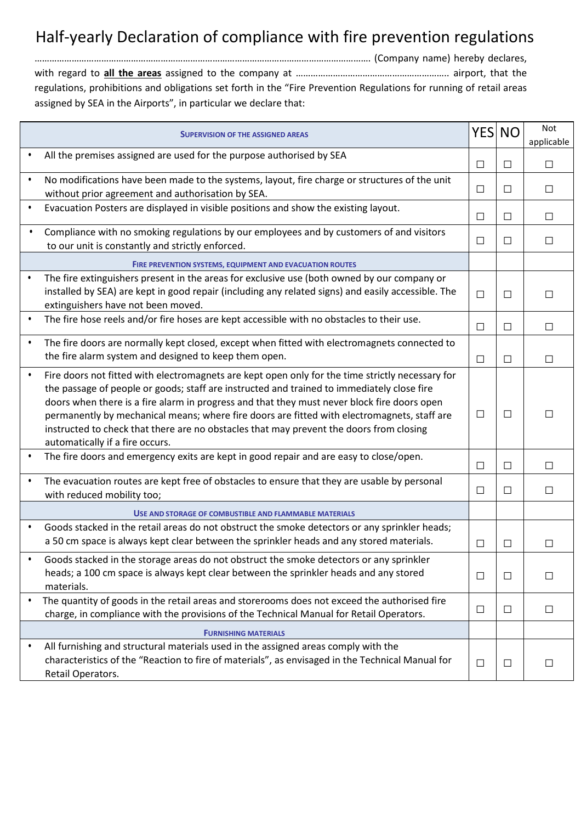## Half-yearly Declaration of compliance with fire prevention regulations

………………………………………………………………………………………………………………………. (Company name) hereby declares, with regard to **all the areas** assigned to the company at …………………………………………………….. airport, that the regulations, prohibitions and obligations set forth in the "Fire Prevention Regulations for running of retail areas assigned by SEA in the Airports", in particular we declare that:

|           | <b>SUPERVISION OF THE ASSIGNED AREAS</b>                                                                                                                                                                                                                                                                                                                                                                                                                                                                                   |        | YES NO | Not<br>applicable |
|-----------|----------------------------------------------------------------------------------------------------------------------------------------------------------------------------------------------------------------------------------------------------------------------------------------------------------------------------------------------------------------------------------------------------------------------------------------------------------------------------------------------------------------------------|--------|--------|-------------------|
|           | All the premises assigned are used for the purpose authorised by SEA                                                                                                                                                                                                                                                                                                                                                                                                                                                       | $\Box$ | $\Box$ | $\Box$            |
| $\bullet$ | No modifications have been made to the systems, layout, fire charge or structures of the unit<br>without prior agreement and authorisation by SEA.                                                                                                                                                                                                                                                                                                                                                                         | □      | $\Box$ | $\Box$            |
| $\bullet$ | Evacuation Posters are displayed in visible positions and show the existing layout.                                                                                                                                                                                                                                                                                                                                                                                                                                        | $\Box$ | $\Box$ | $\Box$            |
| $\bullet$ | Compliance with no smoking regulations by our employees and by customers of and visitors<br>to our unit is constantly and strictly enforced.                                                                                                                                                                                                                                                                                                                                                                               | $\Box$ | $\Box$ | $\Box$            |
|           | <b>FIRE PREVENTION SYSTEMS, EQUIPMENT AND EVACUATION ROUTES</b>                                                                                                                                                                                                                                                                                                                                                                                                                                                            |        |        |                   |
| $\bullet$ | The fire extinguishers present in the areas for exclusive use (both owned by our company or<br>installed by SEA) are kept in good repair (including any related signs) and easily accessible. The<br>extinguishers have not been moved.                                                                                                                                                                                                                                                                                    | $\Box$ | $\Box$ | $\Box$            |
| $\bullet$ | The fire hose reels and/or fire hoses are kept accessible with no obstacles to their use.                                                                                                                                                                                                                                                                                                                                                                                                                                  | $\Box$ | $\Box$ | $\Box$            |
| $\bullet$ | The fire doors are normally kept closed, except when fitted with electromagnets connected to<br>the fire alarm system and designed to keep them open.                                                                                                                                                                                                                                                                                                                                                                      | $\Box$ | $\Box$ | П                 |
| $\bullet$ | Fire doors not fitted with electromagnets are kept open only for the time strictly necessary for<br>the passage of people or goods; staff are instructed and trained to immediately close fire<br>doors when there is a fire alarm in progress and that they must never block fire doors open<br>permanently by mechanical means; where fire doors are fitted with electromagnets, staff are<br>instructed to check that there are no obstacles that may prevent the doors from closing<br>automatically if a fire occurs. | $\Box$ | $\Box$ | П                 |
| $\bullet$ | The fire doors and emergency exits are kept in good repair and are easy to close/open.                                                                                                                                                                                                                                                                                                                                                                                                                                     | $\Box$ | $\Box$ | $\Box$            |
| $\bullet$ | The evacuation routes are kept free of obstacles to ensure that they are usable by personal<br>with reduced mobility too;                                                                                                                                                                                                                                                                                                                                                                                                  | □      | $\Box$ | $\Box$            |
|           | USE AND STORAGE OF COMBUSTIBLE AND FLAMMABLE MATERIALS                                                                                                                                                                                                                                                                                                                                                                                                                                                                     |        |        |                   |
| $\bullet$ | Goods stacked in the retail areas do not obstruct the smoke detectors or any sprinkler heads;<br>a 50 cm space is always kept clear between the sprinkler heads and any stored materials.                                                                                                                                                                                                                                                                                                                                  | $\Box$ | $\Box$ | $\Box$            |
|           | Goods stacked in the storage areas do not obstruct the smoke detectors or any sprinkler<br>heads; a 100 cm space is always kept clear between the sprinkler heads and any stored<br>materials.                                                                                                                                                                                                                                                                                                                             | $\Box$ | $\Box$ | $\Box$            |
| $\bullet$ | The quantity of goods in the retail areas and storerooms does not exceed the authorised fire<br>charge, in compliance with the provisions of the Technical Manual for Retail Operators.                                                                                                                                                                                                                                                                                                                                    | $\Box$ | $\Box$ | $\Box$            |
|           | <b>FURNISHING MATERIALS</b>                                                                                                                                                                                                                                                                                                                                                                                                                                                                                                |        |        |                   |
| $\bullet$ | All furnishing and structural materials used in the assigned areas comply with the<br>characteristics of the "Reaction to fire of materials", as envisaged in the Technical Manual for<br>Retail Operators.                                                                                                                                                                                                                                                                                                                | $\Box$ | $\Box$ | $\Box$            |